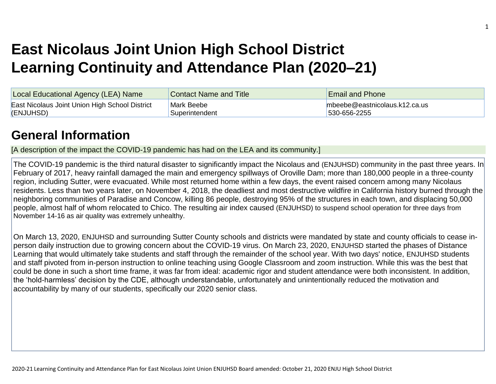# **East Nicolaus Joint Union High School District Learning Continuity and Attendance Plan (2020–21)**

| Local Educational Agency (LEA) Name            | <b>Contact Name and Title</b> | <b>Email and Phone</b>           |
|------------------------------------------------|-------------------------------|----------------------------------|
| East Nicolaus Joint Union High School District | Mark Beebe                    | $m$ beebe@eastnicolaus.k12.ca.us |
| (ENJUHSD)                                      | Superintendent                | 530-656-2255                     |

## **[General Information](http://www.doc-tracking.com/screenshots/20LCP/Instructions/20LCPInstructions.htm#generalinformation)**

[A description of the impact the COVID-19 pandemic has had on the LEA and its community.]

The COVID-19 pandemic is the third natural disaster to significantly impact the Nicolaus and (ENJUHSD) community in the past three years. In February of 2017, heavy rainfall damaged the main and emergency spillways of Oroville Dam; more than 180,000 people in a three-county region, including Sutter, were evacuated. While most returned home within a few days, the event raised concern among many Nicolaus residents. Less than two years later, on November 4, 2018, the deadliest and most destructive wildfire in California history burned through the neighboring communities of Paradise and Concow, killing 86 people, destroying 95% of the structures in each town, and displacing 50,000 people, almost half of whom relocated to Chico. The resulting air index caused (ENJUHSD) to suspend school operation for three days from November 14-16 as air quality was extremely unhealthy.

On March 13, 2020, ENJUHSD and surrounding Sutter County schools and districts were mandated by state and county officials to cease inperson daily instruction due to growing concern about the COVID-19 virus. On March 23, 2020, ENJUHSD started the phases of Distance Learning that would ultimately take students and staff through the remainder of the school year. With two days' notice, ENJUHSD students and staff pivoted from in-person instruction to online teaching using Google Classroom and zoom instruction. While this was the best that could be done in such a short time frame, it was far from ideal: academic rigor and student attendance were both inconsistent. In addition, the 'hold-harmless' decision by the CDE, although understandable, unfortunately and unintentionally reduced the motivation and accountability by many of our students, specifically our 2020 senior class.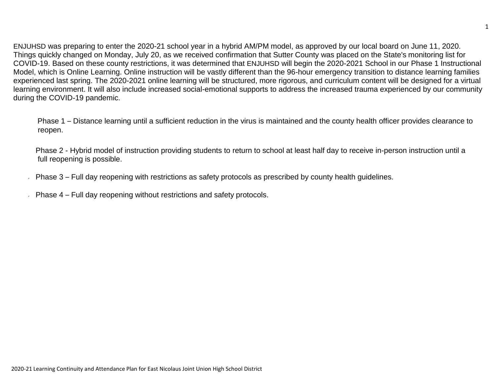ENJUHSD was preparing to enter the 2020-21 school year in a hybrid AM/PM model, as approved by our local board on June 11, 2020. Things quickly changed on Monday, July 20, as we received confirmation that Sutter County was placed on the State's monitoring list for COVID-19. Based on these county restrictions, it was determined that ENJUHSD will begin the 2020-2021 School in our Phase 1 Instructional Model, which is Online Learning. Online instruction will be vastly different than the 96-hour emergency transition to distance learning families experienced last spring. The 2020-2021 online learning will be structured, more rigorous, and curriculum content will be designed for a virtual learning environment. It will also include increased social-emotional supports to address the increased trauma experienced by our community during the COVID-19 pandemic.

Phase 1 – Distance learning until a sufficient reduction in the virus is maintained and the county health officer provides clearance to reopen.

Phase 2 - Hybrid model of instruction providing students to return to school at least half day to receive in-person instruction until a full reopening is possible.

- Phase 3 Full day reopening with restrictions as safety protocols as prescribed by county health guidelines.
- Phase 4 Full day reopening without restrictions and safety protocols.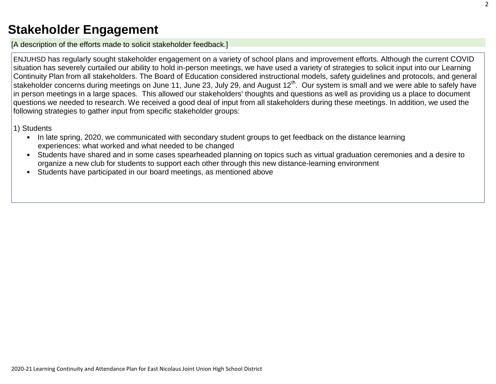## **[Stakeholder Engagement](http://www.doc-tracking.com/screenshots/20LCP/Instructions/20LCPInstructions.htm#stakeholderengagement)**

[A description of the efforts made to solicit stakeholder feedback.]

ENJUHSD has regularly sought stakeholder engagement on a variety of school plans and improvement efforts. Although the current COVID situation has severely curtailed our ability to hold in-person meetings, we have used a variety of strategies to solicit input into our Learning Continuity Plan from all stakeholders. The Board of Education considered instructional models, safety guidelines and protocols, and general stakeholder concerns during meetings on June 11, June 23, July 29, and August 12<sup>th</sup>. Our system is small and we were able to safely have in person meetings in a large spaces. This allowed our stakeholders' thoughts and questions as well as providing us a place to document questions we needed to research. We received a good deal of input from all stakeholders during these meetings. In addition, we used the following strategies to gather input from specific stakeholder groups:

1) Students

- In late spring, 2020, we communicated with secondary student groups to get feedback on the distance learning experiences: what worked and what needed to be changed
- Students have shared and in some cases spearheaded planning on topics such as virtual graduation ceremonies and a desire to organize a new club for students to support each other through this new distance-learning environment
- Students have participated in our board meetings, as mentioned above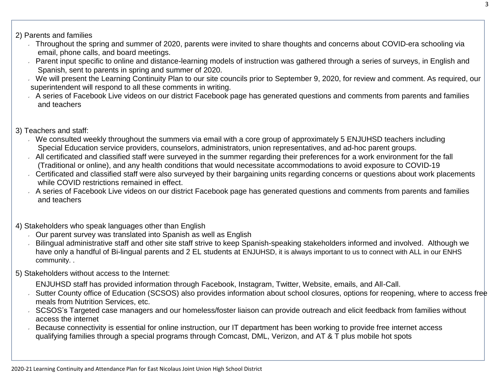#### 2) Parents and families

- Throughout the spring and summer of 2020, parents were invited to share thoughts and concerns about COVID-era schooling via email, phone calls, and board meetings.
- Parent input specific to online and distance-learning models of instruction was gathered through a series of surveys, in English and Spanish, sent to parents in spring and summer of 2020.
- We will present the Learning Continuity Plan to our site councils prior to September 9, 2020, for review and comment. As required, our superintendent will respond to all these comments in writing.
- A series of Facebook Live videos on our district Facebook page has generated questions and comments from parents and families and teachers

### 3) Teachers and staff:

- We consulted weekly throughout the summers via email with a core group of approximately 5 ENJUHSD teachers including Special Education service providers, counselors, administrators, union representatives, and ad-hoc parent groups.
- All certificated and classified staff were surveyed in the summer regarding their preferences for a work environment for the fall (Traditional or online), and any health conditions that would necessitate accommodations to avoid exposure to COVID-19
- Certificated and classified staff were also surveyed by their bargaining units regarding concerns or questions about work placements while COVID restrictions remained in effect.
- A series of Facebook Live videos on our district Facebook page has generated questions and comments from parents and families and teachers
- 4) Stakeholders who speak languages other than English
	- Our parent survey was translated into Spanish as well as English  $\sqrt{2}$
	- Bilingual administrative staff and other site staff strive to keep Spanish-speaking stakeholders informed and involved. Although we have only a handful of Bi-lingual parents and 2 EL students at ENJUHSD, it is always important to us to connect with ALL in our ENHS community. .

### 5) Stakeholders without access to the Internet:

- ENJUHSD staff has provided information through Facebook, Instagram, Twitter, Website, emails, and All-Call.
- Sutter County office of Education (SCSOS) also provides information about school closures, options for reopening, where to access free meals from Nutrition Services, etc.
- SCSOS's Targeted case managers and our homeless/foster liaison can provide outreach and elicit feedback from families without access the internet
- Because connectivity is essential for online instruction, our IT department has been working to provide free internet access qualifying families through a special programs through Comcast, DML, Verizon, and AT & T plus mobile hot spots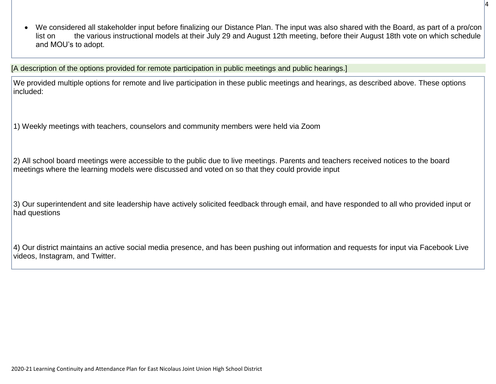We considered all stakeholder input before finalizing our Distance Plan. The input was also shared with the Board, as part of a pro/con list on the various instructional models at their July 29 and August 12th meeting, before their August 18th vote on which schedule and MOU's to adopt.

[A description of the options provided for remote participation in public meetings and public hearings.]

We provided multiple options for remote and live participation in these public meetings and hearings, as described above. These options included:

1) Weekly meetings with teachers, counselors and community members were held via Zoom

2) All school board meetings were accessible to the public due to live meetings. Parents and teachers received notices to the board meetings where the learning models were discussed and voted on so that they could provide input

3) Our superintendent and site leadership have actively solicited feedback through email, and have responded to all who provided input or had questions

4) Our district maintains an active social media presence, and has been pushing out information and requests for input via Facebook Live videos, Instagram, and Twitter.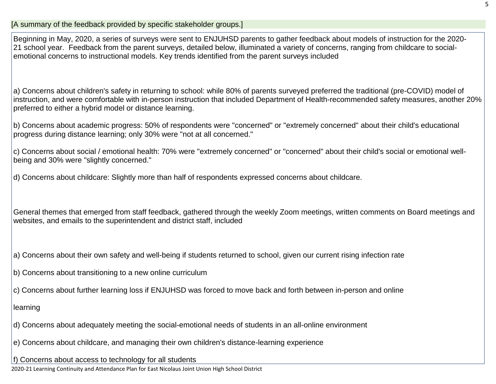Beginning in May, 2020, a series of surveys were sent to ENJUHSD parents to gather feedback about models of instruction for the 2020- 21 school year. Feedback from the parent surveys, detailed below, illuminated a variety of concerns, ranging from childcare to socialemotional concerns to instructional models. Key trends identified from the parent surveys included

a) Concerns about children's safety in returning to school: while 80% of parents surveyed preferred the traditional (pre-COVID) model of instruction, and were comfortable with in-person instruction that included Department of Health-recommended safety measures, another 20% preferred to either a hybrid model or distance learning.

b) Concerns about academic progress: 50% of respondents were "concerned" or "extremely concerned" about their child's educational progress during distance learning; only 30% were "not at all concerned."

c) Concerns about social / emotional health: 70% were "extremely concerned" or "concerned" about their child's social or emotional wellbeing and 30% were "slightly concerned."

d) Concerns about childcare: Slightly more than half of respondents expressed concerns about childcare.

General themes that emerged from staff feedback, gathered through the weekly Zoom meetings, written comments on Board meetings and websites, and emails to the superintendent and district staff, included

a) Concerns about their own safety and well-being if students returned to school, given our current rising infection rate

- b) Concerns about transitioning to a new online curriculum
- c) Concerns about further learning loss if ENJUHSD was forced to move back and forth between in-person and online

learning

- d) Concerns about adequately meeting the social-emotional needs of students in an all-online environment
- e) Concerns about childcare, and managing their own children's distance-learning experience

f) Concerns about access to technology for all students

2020-21 Learning Continuity and Attendance Plan for East Nicolaus Joint Union High School District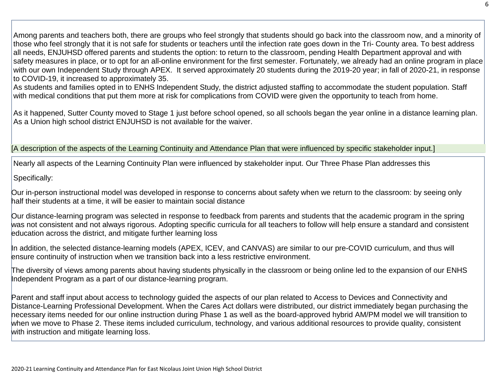Among parents and teachers both, there are groups who feel strongly that students should go back into the classroom now, and a minority of those who feel strongly that it is not safe for students or teachers until the infection rate goes down in the Tri- County area. To best address all needs, ENJUHSD offered parents and students the option: to return to the classroom, pending Health Department approval and with safety measures in place, or to opt for an all-online environment for the first semester. Fortunately, we already had an online program in place with our own Independent Study through APEX. It served approximately 20 students during the 2019-20 year; in fall of 2020-21, in response to COVID-19, it increased to approximately 35.

As students and families opted in to ENHS Independent Study, the district adjusted staffing to accommodate the student population. Staff with medical conditions that put them more at risk for complications from COVID were given the opportunity to teach from home.

As it happened, Sutter County moved to Stage 1 just before school opened, so all schools began the year online in a distance learning plan. As a Union high school district ENJUHSD is not available for the waiver.

[A description of the aspects of the Learning Continuity and Attendance Plan that were influenced by specific stakeholder input.]

Nearly all aspects of the Learning Continuity Plan were influenced by stakeholder input. Our Three Phase Plan addresses this

Specifically:

Our in-person instructional model was developed in response to concerns about safety when we return to the classroom: by seeing only half their students at a time, it will be easier to maintain social distance

Our distance-learning program was selected in response to feedback from parents and students that the academic program in the spring was not consistent and not always rigorous. Adopting specific curricula for all teachers to follow will help ensure a standard and consistent education across the district, and mitigate further learning loss

In addition, the selected distance-learning models (APEX, ICEV, and CANVAS) are similar to our pre-COVID curriculum, and thus will ensure continuity of instruction when we transition back into a less restrictive environment.

The diversity of views among parents about having students physically in the classroom or being online led to the expansion of our ENHS Independent Program as a part of our distance-learning program.

Parent and staff input about access to technology guided the aspects of our plan related to Access to Devices and Connectivity and Distance-Learning Professional Development. When the Cares Act dollars were distributed, our district immediately began purchasing the necessary items needed for our online instruction during Phase 1 as well as the board-approved hybrid AM/PM model we will transition to when we move to Phase 2. These items included curriculum, technology, and various additional resources to provide quality, consistent with instruction and mitigate learning loss.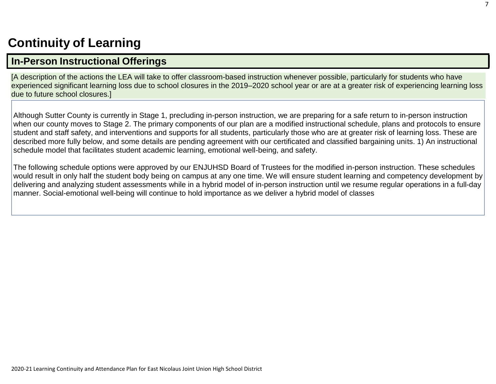## **[Continuity](http://www.doc-tracking.com/screenshots/20LCP/Instructions/20LCPInstructions.htm#ContinuityofLearning) of Learning**

## **In-Person [Instructional](http://www.doc-tracking.com/screenshots/20LCP/Instructions/20LCPInstructions.htm#ContinuityofLearning1) Offerings**

[A description of the actions the LEA will take to offer classroom-based instruction whenever possible, particularly for students who have experienced significant learning loss due to school closures in the 2019–2020 school year or are at a greater risk of experiencing learning loss due to future school closures.]

Although Sutter County is currently in Stage 1, precluding in-person instruction, we are preparing for a safe return to in-person instruction when our county moves to Stage 2. The primary components of our plan are a modified instructional schedule, plans and protocols to ensure student and staff safety, and interventions and supports for all students, particularly those who are at greater risk of learning loss. These are described more fully below, and some details are pending agreement with our certificated and classified bargaining units. 1) An instructional schedule model that facilitates student academic learning, emotional well-being, and safety.

The following schedule options were approved by our ENJUHSD Board of Trustees for the modified in-person instruction. These schedules would result in only half the student body being on campus at any one time. We will ensure student learning and competency development by delivering and analyzing student assessments while in a hybrid model of in-person instruction until we resume regular operations in a full-day manner. Social-emotional well-being will continue to hold importance as we deliver a hybrid model of classes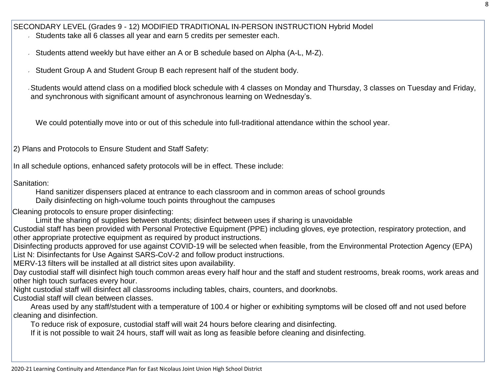SECONDARY LEVEL (Grades 9 - 12) MODIFIED TRADITIONAL IN-PERSON INSTRUCTION Hybrid Model Students take all 6 classes all year and earn 5 credits per semester each.

Students attend weekly but have either an A or B schedule based on Alpha (A-L, M-Z).

Student Group A and Student Group B each represent half of the student body.

Students would attend class on a modified block schedule with 4 classes on Monday and Thursday, 3 classes on Tuesday and Friday, and synchronous with significant amount of asynchronous learning on Wednesday's.

We could potentially move into or out of this schedule into full-traditional attendance within the school year.

2) Plans and Protocols to Ensure Student and Staff Safety:

In all schedule options, enhanced safety protocols will be in effect. These include:

Sanitation:

 Hand sanitizer dispensers placed at entrance to each classroom and in common areas of school grounds Daily disinfecting on high-volume touch points throughout the campuses

Cleaning protocols to ensure proper disinfecting:

Limit the sharing of supplies between students; disinfect between uses if sharing is unavoidable

Custodial staff has been provided with Personal Protective Equipment (PPE) including gloves, eye protection, respiratory protection, and other appropriate protective equipment as required by product instructions.

Disinfecting products approved for use against COVID-19 will be selected when feasible, from the Environmental Protection Agency (EPA) List N: Disinfectants for Use Against SARS-CoV-2 and follow product instructions.

MERV-13 filters will be installed at all district sites upon availability.

Day custodial staff will disinfect high touch common areas every half hour and the staff and student restrooms, break rooms, work areas and other high touch surfaces every hour.

Night custodial staff will disinfect all classrooms including tables, chairs, counters, and doorknobs.

Custodial staff will clean between classes.

Areas used by any staff/student with a temperature of 100.4 or higher or exhibiting symptoms will be closed off and not used before cleaning and disinfection.

To reduce risk of exposure, custodial staff will wait 24 hours before clearing and disinfecting.

If it is not possible to wait 24 hours, staff will wait as long as feasible before cleaning and disinfecting.

2020-21 Learning Continuity and Attendance Plan for East Nicolaus Joint Union High School District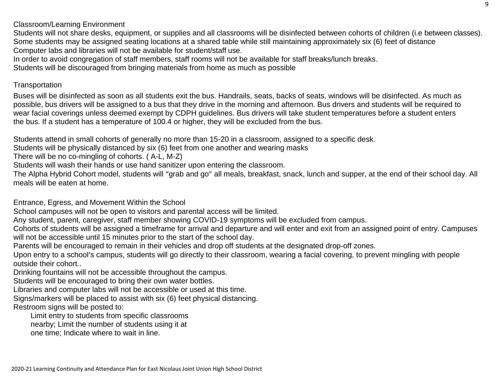Classroom/Learning Environment

Students will not share desks, equipment, or supplies and all classrooms will be disinfected between cohorts of children (i.e between classes). Some students may be assigned seating locations at a shared table while still maintaining approximately six (6) feet of distance Computer labs and libraries will not be available for student/staff use.

In order to avoid congregation of staff members, staff rooms will not be available for staff breaks/lunch breaks.

Students will be discouraged from bringing materials from home as much as possible

#### **Transportation**

Buses will be disinfected as soon as all students exit the bus. Handrails, seats, backs of seats, windows will be disinfected. As much as possible, bus drivers will be assigned to a bus that they drive in the morning and afternoon. Bus drivers and students will be required to wear facial coverings unless deemed exempt by CDPH guidelines. Bus drivers will take student temperatures before a student enters the bus. If a student has a temperature of 100.4 or higher, they will be excluded from the bus.

Students attend in small cohorts of generally no more than 15-20 in a classroom, assigned to a specific desk.

Students will be physically distanced by six (6) feet from one another and wearing masks

There will be no co-mingling of cohorts. ( A-L, M-Z)

Students will wash their hands or use hand sanitizer upon entering the classroom.

The Alpha Hybrid Cohort model, students will "grab and go" all meals, breakfast, snack, lunch and supper, at the end of their school day. All meals will be eaten at home.

Entrance, Egress, and Movement Within the School

School campuses will not be open to visitors and parental access will be limited.

Any student, parent, caregiver, staff member showing COVID-19 symptoms will be excluded from campus.

Cohorts of students will be assigned a timeframe for arrival and departure and will enter and exit from an assigned point of entry. Campuses will not be accessible until 15 minutes prior to the start of the school day.

Parents will be encouraged to remain in their vehicles and drop off students at the designated drop-off zones.

Upon entry to a school's campus, students will go directly to their classroom, wearing a facial covering, to prevent mingling with people outside their cohort..

Drinking fountains will not be accessible throughout the campus.

Students will be encouraged to bring their own water bottles.

Libraries and computer labs will not be accessible or used at this time.

Signs/markers will be placed to assist with six (6) feet physical distancing.

Restroom signs will be posted to:

Limit entry to students from specific classrooms nearby; Limit the number of students using it at one time; Indicate where to wait in line.

2020-21 Learning Continuity and Attendance Plan for East Nicolaus Joint Union High School District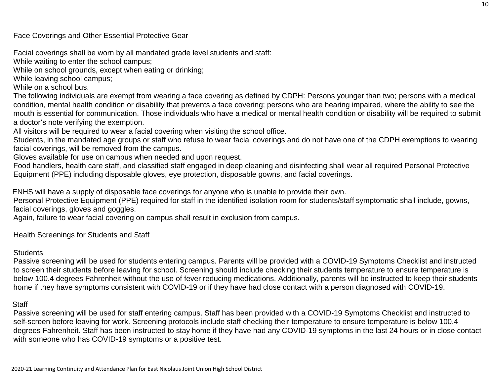Face Coverings and Other Essential Protective Gear

Facial coverings shall be worn by all mandated grade level students and staff:

While waiting to enter the school campus;

While on school grounds, except when eating or drinking;

While leaving school campus;

While on a school bus.

The following individuals are exempt from wearing a face covering as defined by CDPH: Persons younger than two; persons with a medical condition, mental health condition or disability that prevents a face covering; persons who are hearing impaired, where the ability to see the mouth is essential for communication. Those individuals who have a medical or mental health condition or disability will be required to submit a doctor's note verifying the exemption.

All visitors will be required to wear a facial covering when visiting the school office.

Students, in the mandated age groups or staff who refuse to wear facial coverings and do not have one of the CDPH exemptions to wearing facial coverings, will be removed from the campus.

Gloves available for use on campus when needed and upon request.

Food handlers, health care staff, and classified staff engaged in deep cleaning and disinfecting shall wear all required Personal Protective Equipment (PPE) including disposable gloves, eye protection, disposable gowns, and facial coverings.

ENHS will have a supply of disposable face coverings for anyone who is unable to provide their own.

Personal Protective Equipment (PPE) required for staff in the identified isolation room for students/staff symptomatic shall include, gowns, facial coverings, gloves and goggles.

Again, failure to wear facial covering on campus shall result in exclusion from campus.

Health Screenings for Students and Staff

#### **Students**

Passive screening will be used for students entering campus. Parents will be provided with a COVID-19 Symptoms Checklist and instructed to screen their students before leaving for school. Screening should include checking their students temperature to ensure temperature is below 100.4 degrees Fahrenheit without the use of fever reducing medications. Additionally, parents will be instructed to keep their students home if they have symptoms consistent with COVID-19 or if they have had close contact with a person diagnosed with COVID-19.

#### **Staff**

Passive screening will be used for staff entering campus. Staff has been provided with a COVID-19 Symptoms Checklist and instructed to self-screen before leaving for work. Screening protocols include staff checking their temperature to ensure temperature is below 100.4 degrees Fahrenheit. Staff has been instructed to stay home if they have had any COVID-19 symptoms in the last 24 hours or in close contact with someone who has COVID-19 symptoms or a positive test.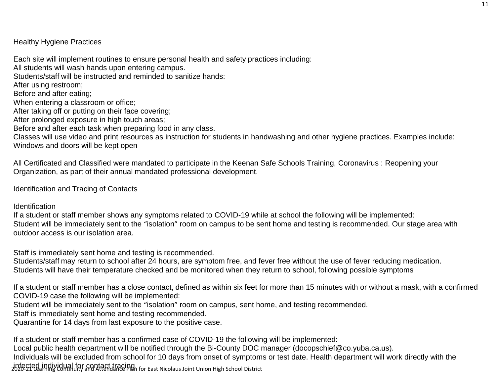Healthy Hygiene Practices

Each site will implement routines to ensure personal health and safety practices including:

All students will wash hands upon entering campus.

Students/staff will be instructed and reminded to sanitize hands:

After using restroom;

Before and after eating;

When entering a classroom or office;

After taking off or putting on their face covering;

After prolonged exposure in high touch areas;

Before and after each task when preparing food in any class.

Classes will use video and print resources as instruction for students in handwashing and other hygiene practices. Examples include: Windows and doors will be kept open

All Certificated and Classified were mandated to participate in the Keenan Safe Schools Training, Coronavirus : Reopening your Organization, as part of their annual mandated professional development.

Identification and Tracing of Contacts

Identification

If a student or staff member shows any symptoms related to COVID-19 while at school the following will be implemented: Student will be immediately sent to the "isolation" room on campus to be sent home and testing is recommended. Our stage area with outdoor access is our isolation area.

Staff is immediately sent home and testing is recommended.

Students/staff may return to school after 24 hours, are symptom free, and fever free without the use of fever reducing medication. Students will have their temperature checked and be monitored when they return to school, following possible symptoms

If a student or staff member has a close contact, defined as within six feet for more than 15 minutes with or without a mask, with a confirmed COVID-19 case the following will be implemented:

Student will be immediately sent to the "isolation" room on campus, sent home, and testing recommended.

Staff is immediately sent home and testing recommended.

Quarantine for 14 days from last exposure to the positive case.

If a student or staff member has a confirmed case of COVID-19 the following will be implemented:

Local public health department will be notified through the Bi-County DOC manager (docopschief@co.yuba.ca.us).

2020-21 Learning Continuity and Attendance Plan for East Nicolaus Joint Union High School District infected individual for contact tracing.Individuals will be excluded from school for 10 days from onset of symptoms or test date. Health department will work directly with the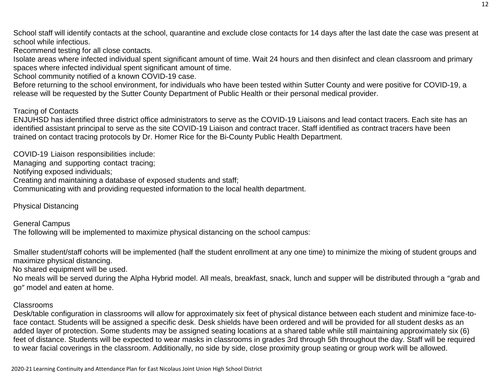School staff will identify contacts at the school, quarantine and exclude close contacts for 14 days after the last date the case was present at school while infectious.

Recommend testing for all close contacts.

Isolate areas where infected individual spent significant amount of time. Wait 24 hours and then disinfect and clean classroom and primary spaces where infected individual spent significant amount of time.

School community notified of a known COVID-19 case.

Before returning to the school environment, for individuals who have been tested within Sutter County and were positive for COVID-19, a release will be requested by the Sutter County Department of Public Health or their personal medical provider.

#### Tracing of Contacts

ENJUHSD has identified three district office administrators to serve as the COVID-19 Liaisons and lead contact tracers. Each site has an identified assistant principal to serve as the site COVID-19 Liaison and contract tracer. Staff identified as contract tracers have been trained on contact tracing protocols by Dr. Homer Rice for the Bi-County Public Health Department.

COVID-19 Liaison responsibilities include:

Managing and supporting contact tracing;

Notifying exposed individuals;

Creating and maintaining a database of exposed students and staff;

Communicating with and providing requested information to the local health department.

Physical Distancing

General Campus The following will be implemented to maximize physical distancing on the school campus:

Smaller student/staff cohorts will be implemented (half the student enrollment at any one time) to minimize the mixing of student groups and maximize physical distancing.

No shared equipment will be used.

No meals will be served during the Alpha Hybrid model. All meals, breakfast, snack, lunch and supper will be distributed through a "grab and go" model and eaten at home.

#### Classrooms

Desk/table configuration in classrooms will allow for approximately six feet of physical distance between each student and minimize face-toface contact. Students will be assigned a specific desk. Desk shields have been ordered and will be provided for all student desks as an added layer of protection. Some students may be assigned seating locations at a shared table while still maintaining approximately six (6) feet of distance. Students will be expected to wear masks in classrooms in grades 3rd through 5th throughout the day. Staff will be required to wear facial coverings in the classroom. Additionally, no side by side, close proximity group seating or group work will be allowed.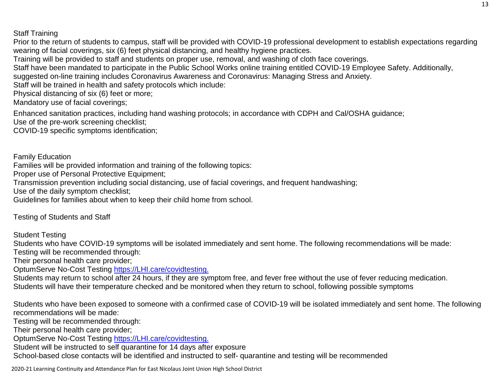#### Staff Training

Prior to the return of students to campus, staff will be provided with COVID-19 professional development to establish expectations regarding wearing of facial coverings, six (6) feet physical distancing, and healthy hygiene practices. Training will be provided to staff and students on proper use, removal, and washing of cloth face coverings. Staff have been mandated to participate in the Public School Works online training entitled COVID-19 Employee Safety. Additionally, suggested on-line training includes Coronavirus Awareness and Coronavirus: Managing Stress and Anxiety. Staff will be trained in health and safety protocols which include: Physical distancing of six (6) feet or more; Mandatory use of facial coverings;

Enhanced sanitation practices, including hand washing protocols; in accordance with CDPH and Cal/OSHA guidance; Use of the pre-work screening checklist;

COVID-19 specific symptoms identification;

Family Education

Families will be provided information and training of the following topics:

Proper use of Personal Protective Equipment;

Transmission prevention including social distancing, use of facial coverings, and frequent handwashing;

Use of the daily symptom checklist;

Guidelines for families about when to keep their child home from school.

Testing of Students and Staff

Student Testing

Students who have COVID-19 symptoms will be isolated immediately and sent home. The following recommendations will be made: Testing will be recommended through:

Their personal health care provider;

OptumServe No-Cost Testing [https://LHI.care/covidtesting.](https://lhi.care/covidtesting)

Students may return to school after 24 hours, if they are symptom free, and fever free without the use of fever reducing medication. Students will have their temperature checked and be monitored when they return to school, following possible symptoms

Students who have been exposed to someone with a confirmed case of COVID-19 will be isolated immediately and sent home. The following recommendations will be made:

Testing will be recommended through:

Their personal health care provider;

OptumServe No-Cost Testing [https://LHI.care/covidtesting.](https://lhi.care/covidtesting)

Student will be instructed to self quarantine for 14 days after exposure

School-based close contacts will be identified and instructed to self- quarantine and testing will be recommended

2020-21 Learning Continuity and Attendance Plan for East Nicolaus Joint Union High School District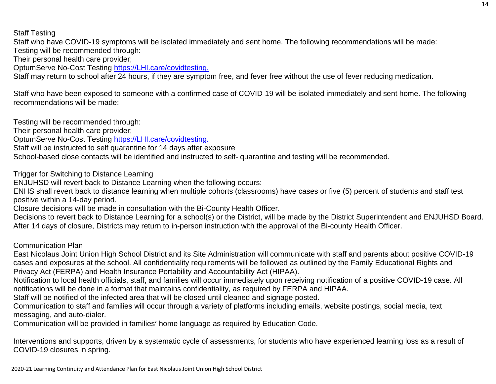Staff Testing

Staff who have COVID-19 symptoms will be isolated immediately and sent home. The following recommendations will be made:

Testing will be recommended through:

Their personal health care provider;

OptumServe No-Cost Testing [https://LHI.care/covidtesting.](https://lhi.care/covidtesting)

Staff may return to school after 24 hours, if they are symptom free, and fever free without the use of fever reducing medication.

Staff who have been exposed to someone with a confirmed case of COVID-19 will be isolated immediately and sent home. The following recommendations will be made:

Testing will be recommended through:

Their personal health care provider;

OptumServe No-Cost Testing [https://LHI.care/covidtesting.](https://lhi.care/covidtesting)

Staff will be instructed to self quarantine for 14 days after exposure

School-based close contacts will be identified and instructed to self- quarantine and testing will be recommended.

Trigger for Switching to Distance Learning

ENJUHSD will revert back to Distance Learning when the following occurs:

ENHS shall revert back to distance learning when multiple cohorts (classrooms) have cases or five (5) percent of students and staff test positive within a 14-day period.

Closure decisions will be made in consultation with the Bi-County Health Officer.

Decisions to revert back to Distance Learning for a school(s) or the District, will be made by the District Superintendent and ENJUHSD Board. After 14 days of closure, Districts may return to in-person instruction with the approval of the Bi-county Health Officer.

Communication Plan

East Nicolaus Joint Union High School District and its Site Administration will communicate with staff and parents about positive COVID-19 cases and exposures at the school. All confidentiality requirements will be followed as outlined by the Family Educational Rights and Privacy Act (FERPA) and Health Insurance Portability and Accountability Act (HIPAA).

Notification to local health officials, staff, and families will occur immediately upon receiving notification of a positive COVID-19 case. All notifications will be done in a format that maintains confidentiality, as required by FERPA and HIPAA.

Staff will be notified of the infected area that will be closed until cleaned and signage posted.

Communication to staff and families will occur through a variety of platforms including emails, website postings, social media, text messaging, and auto-dialer.

Communication will be provided in families' home language as required by Education Code.

Interventions and supports, driven by a systematic cycle of assessments, for students who have experienced learning loss as a result of COVID-19 closures in spring.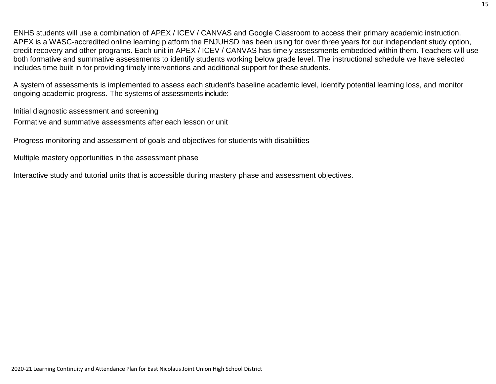ENHS students will use a combination of APEX / ICEV / CANVAS and Google Classroom to access their primary academic instruction. APEX is a WASC-accredited online learning platform the ENJUHSD has been using for over three years for our independent study option, credit recovery and other programs. Each unit in APEX / ICEV / CANVAS has timely assessments embedded within them. Teachers will use both formative and summative assessments to identify students working below grade level. The instructional schedule we have selected includes time built in for providing timely interventions and additional support for these students.

A system of assessments is implemented to assess each student's baseline academic level, identify potential learning loss, and monitor ongoing academic progress. The systems of assessments include:

Initial diagnostic assessment and screening

Formative and summative assessments after each lesson or unit

Progress monitoring and assessment of goals and objectives for students with disabilities

Multiple mastery opportunities in the assessment phase

Interactive study and tutorial units that is accessible during mastery phase and assessment objectives.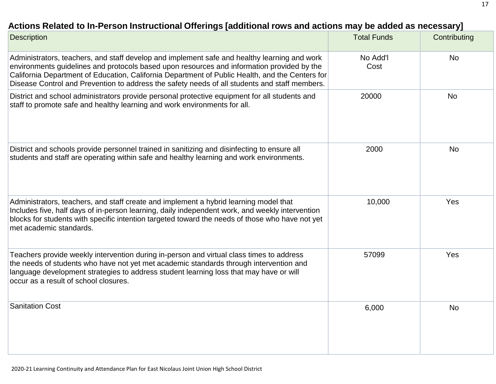## **Actions Related to In-Person Instructional Offerings [additional rows and actions may be added [as necessary\]](http://www.doc-tracking.com/screenshots/20LCP/Instructions/20LCPInstructions.htm#ContinuityofLearning2)**

| <b>Description</b>                                                                                                                                                                                                                                                                                                                                                                             | <b>Total Funds</b> | Contributing |
|------------------------------------------------------------------------------------------------------------------------------------------------------------------------------------------------------------------------------------------------------------------------------------------------------------------------------------------------------------------------------------------------|--------------------|--------------|
| Administrators, teachers, and staff develop and implement safe and healthy learning and work<br>environments guidelines and protocols based upon resources and information provided by the<br>California Department of Education, California Department of Public Health, and the Centers for<br>Disease Control and Prevention to address the safety needs of all students and staff members. | No Add'l<br>Cost   | <b>No</b>    |
| District and school administrators provide personal protective equipment for all students and<br>staff to promote safe and healthy learning and work environments for all.                                                                                                                                                                                                                     | 20000              | <b>No</b>    |
| District and schools provide personnel trained in sanitizing and disinfecting to ensure all<br>students and staff are operating within safe and healthy learning and work environments.                                                                                                                                                                                                        | 2000               | <b>No</b>    |
| Administrators, teachers, and staff create and implement a hybrid learning model that<br>Includes five, half days of in-person learning, daily independent work, and weekly intervention<br>blocks for students with specific intention targeted toward the needs of those who have not yet<br>met academic standards.                                                                         | 10,000             | Yes          |
| Teachers provide weekly intervention during in-person and virtual class times to address<br>the needs of students who have not yet met academic standards through intervention and<br>language development strategies to address student learning loss that may have or will<br>occur as a result of school closures.                                                                          | 57099              | Yes          |
| <b>Sanitation Cost</b>                                                                                                                                                                                                                                                                                                                                                                         | 6,000              | <b>No</b>    |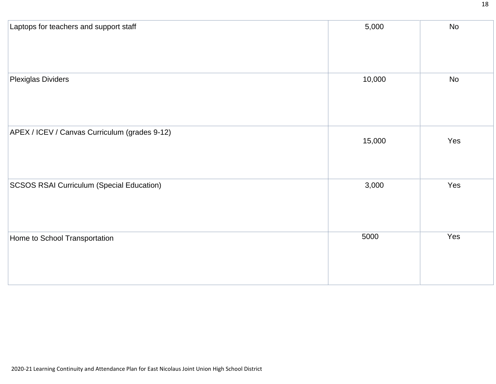| Laptops for teachers and support staff           | 5,000  | No  |
|--------------------------------------------------|--------|-----|
|                                                  |        |     |
| <b>Plexiglas Dividers</b>                        | 10,000 | No  |
| APEX / ICEV / Canvas Curriculum (grades 9-12)    | 15,000 | Yes |
| <b>SCSOS RSAI Curriculum (Special Education)</b> | 3,000  | Yes |
| Home to School Transportation                    | 5000   | Yes |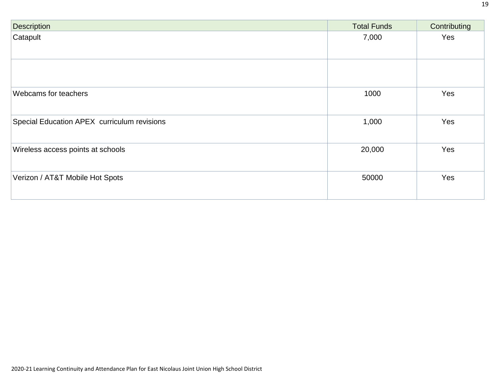| <b>Description</b>                          | <b>Total Funds</b> | Contributing |
|---------------------------------------------|--------------------|--------------|
| Catapult                                    | 7,000              | Yes          |
| Webcams for teachers                        | 1000               | Yes          |
| Special Education APEX curriculum revisions | 1,000              | Yes          |
|                                             |                    |              |
| Wireless access points at schools           | 20,000             | Yes          |
| Verizon / AT&T Mobile Hot Spots             | 50000              | Yes          |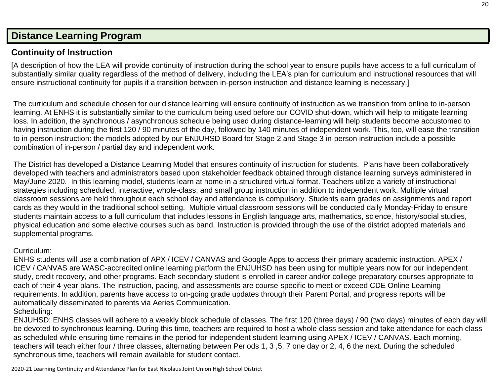## **[Distance Learning](http://www.doc-tracking.com/screenshots/20LCP/Instructions/20LCPInstructions.htm#DistanceLearningProgram) Program**

## **Continuity of [Instruction](http://www.doc-tracking.com/screenshots/20LCP/Instructions/20LCPInstructions.htm#DistanceLearningProgram1)**

[A description of how the LEA will provide continuity of instruction during the school year to ensure pupils have access to a full curriculum of substantially similar quality regardless of the method of delivery, including the LEA's plan for curriculum and instructional resources that will ensure instructional continuity for pupils if a transition between in-person instruction and distance learning is necessary.]

The curriculum and schedule chosen for our distance learning will ensure continuity of instruction as we transition from online to in-person learning. At ENHS it is substantially similar to the curriculum being used before our COVID shut-down, which will help to mitigate learning loss. In addition, the synchronous / asynchronous schedule being used during distance-learning will help students become accustomed to having instruction during the first 120 / 90 minutes of the day, followed by 140 minutes of independent work. This, too, will ease the transition to in-person instruction: the models adopted by our ENJUHSD Board for Stage 2 and Stage 3 in-person instruction include a possible combination of in-person / partial day and independent work.

The District has developed a Distance Learning Model that ensures continuity of instruction for students. Plans have been collaboratively developed with teachers and administrators based upon stakeholder feedback obtained through distance learning surveys administered in May/June 2020. In this learning model, students learn at home in a structured virtual format. Teachers utilize a variety of instructional strategies including scheduled, interactive, whole-class, and small group instruction in addition to independent work. Multiple virtual classroom sessions are held throughout each school day and attendance is compulsory. Students earn grades on assignments and report cards as they would in the traditional school setting. Multiple virtual classroom sessions will be conducted daily Monday-Friday to ensure students maintain access to a full curriculum that includes lessons in English language arts, mathematics, science, history/social studies, physical education and some elective courses such as band. Instruction is provided through the use of the district adopted materials and supplemental programs.

#### Curriculum:

ENHS students will use a combination of APX / ICEV / CANVAS and Google Apps to access their primary academic instruction. APEX / ICEV / CANVAS are WASC-accredited online learning platform the ENJUHSD has been using for multiple years now for our independent study, credit recovery, and other programs. Each secondary student is enrolled in career and/or college preparatory courses appropriate to each of their 4-year plans. The instruction, pacing, and assessments are course-specific to meet or exceed CDE Online Learning requirements. In addition, parents have access to on-going grade updates through their Parent Portal, and progress reports will be automatically disseminated to parents via Aeries Communication.

#### Scheduling:

ENJUHSD: ENHS classes will adhere to a weekly block schedule of classes. The first 120 (three days) / 90 (two days) minutes of each day will be devoted to synchronous learning. During this time, teachers are required to host a whole class session and take attendance for each class as scheduled while ensuring time remains in the period for independent student learning using APEX / ICEV / CANVAS. Each morning, teachers will teach either four / three classes, alternating between Periods 1, 3 ,5, 7 one day or 2, 4, 6 the next. During the scheduled synchronous time, teachers will remain available for student contact.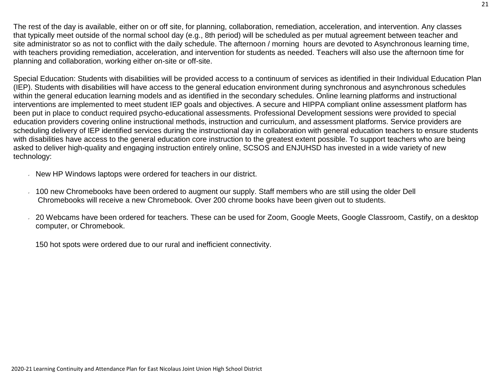The rest of the day is available, either on or off site, for planning, collaboration, remediation, acceleration, and intervention. Any classes that typically meet outside of the normal school day (e.g., 8th period) will be scheduled as per mutual agreement between teacher and site administrator so as not to conflict with the daily schedule. The afternoon / morning hours are devoted to Asynchronous learning time, with teachers providing remediation, acceleration, and intervention for students as needed. Teachers will also use the afternoon time for planning and collaboration, working either on-site or off-site.

Special Education: Students with disabilities will be provided access to a continuum of services as identified in their Individual Education Plan (IEP). Students with disabilities will have access to the general education environment during synchronous and asynchronous schedules within the general education learning models and as identified in the secondary schedules. Online learning platforms and instructional interventions are implemented to meet student IEP goals and objectives. A secure and HIPPA compliant online assessment platform has been put in place to conduct required psycho-educational assessments. Professional Development sessions were provided to special education providers covering online instructional methods, instruction and curriculum, and assessment platforms. Service providers are scheduling delivery of IEP identified services during the instructional day in collaboration with general education teachers to ensure students with disabilities have access to the general education core instruction to the greatest extent possible. To support teachers who are being asked to deliver high-quality and engaging instruction entirely online, SCSOS and ENJUHSD has invested in a wide variety of new technology:

- New HP Windows laptops were ordered for teachers in our district.
- 100 new Chromebooks have been ordered to augment our supply. Staff members who are still using the older Dell Chromebooks will receive a new Chromebook. Over 200 chrome books have been given out to students.
- 20 Webcams have been ordered for teachers. These can be used for Zoom, Google Meets, Google Classroom, Castify, on a desktop computer, or Chromebook.

150 hot spots were ordered due to our rural and inefficient connectivity.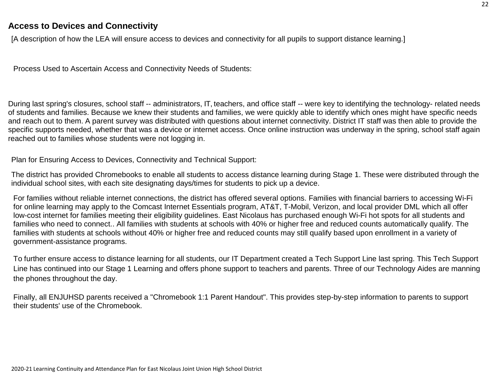### **Access to Devices and [Connectivity](http://www.doc-tracking.com/screenshots/20LCP/Instructions/20LCPInstructions.htm#DistanceLearningProgram2)**

[A description of how the LEA will ensure access to devices and connectivity for all pupils to support distance learning.]

Process Used to Ascertain Access and Connectivity Needs of Students:

During last spring's closures, school staff -- administrators, IT, teachers, and office staff -- were key to identifying the technology- related needs of students and families. Because we knew their students and families, we were quickly able to identify which ones might have specific needs and reach out to them. A parent survey was distributed with questions about internet connectivity. District IT staff was then able to provide the specific supports needed, whether that was a device or internet access. Once online instruction was underway in the spring, school staff again reached out to families whose students were not logging in.

Plan for Ensuring Access to Devices, Connectivity and Technical Support:

The district has provided Chromebooks to enable all students to access distance learning during Stage 1. These were distributed through the individual school sites, with each site designating days/times for students to pick up a device.

For families without reliable internet connections, the district has offered several options. Families with financial barriers to accessing Wi-Fi for online learning may apply to the Comcast Internet Essentials program, AT&T, T-Mobil, Verizon, and local provider DML which all offer low-cost internet for families meeting their eligibility guidelines. East Nicolaus has purchased enough Wi-Fi hot spots for all students and families who need to connect.. All families with students at schools with 40% or higher free and reduced counts automatically qualify. The families with students at schools without 40% or higher free and reduced counts may still qualify based upon enrollment in a variety of government-assistance programs.

To further ensure access to distance learning for all students, our IT Department created a Tech Support Line last spring. This Tech Support Line has continued into our Stage 1 Learning and offers phone support to teachers and parents. Three of our Technology Aides are manning the phones throughout the day.

Finally, all ENJUHSD parents received a "Chromebook 1:1 Parent Handout". This provides step-by-step information to parents to support their students' use of the Chromebook.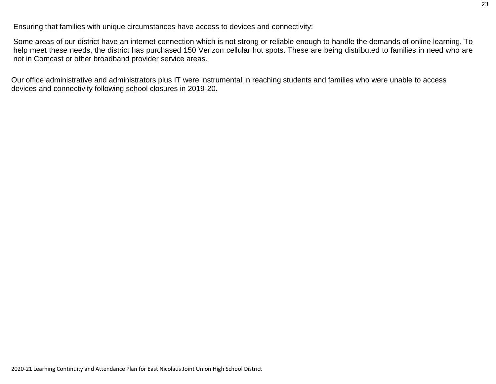Ensuring that families with unique circumstances have access to devices and connectivity:

Some areas of our district have an internet connection which is not strong or reliable enough to handle the demands of online learning. To help meet these needs, the district has purchased 150 Verizon cellular hot spots. These are being distributed to families in need who are not in Comcast or other broadband provider service areas.

Our office administrative and administrators plus IT were instrumental in reaching students and families who were unable to access devices and connectivity following school closures in 2019-20.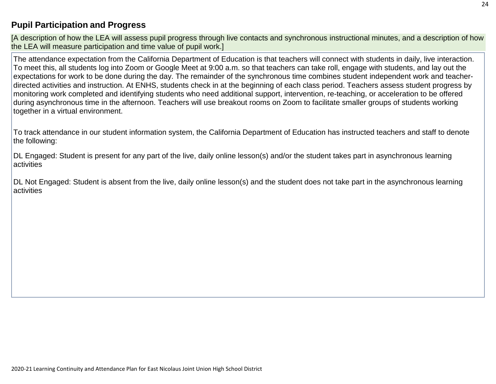## **Pupil [Participation](http://www.doc-tracking.com/screenshots/20LCP/Instructions/20LCPInstructions.htm#DistanceLearningProgram3) and Progress**

[A description of how the LEA will assess pupil progress through live contacts and synchronous instructional minutes, and a description of how the LEA will measure participation and time value of pupil work.]

The attendance expectation from the California Department of Education is that teachers will connect with students in daily, live interaction. To meet this, all students log into Zoom or Google Meet at 9:00 a.m. so that teachers can take roll, engage with students, and lay out the expectations for work to be done during the day. The remainder of the synchronous time combines student independent work and teacherdirected activities and instruction. At ENHS, students check in at the beginning of each class period. Teachers assess student progress by monitoring work completed and identifying students who need additional support, intervention, re-teaching, or acceleration to be offered during asynchronous time in the afternoon. Teachers will use breakout rooms on Zoom to facilitate smaller groups of students working together in a virtual environment.

To track attendance in our student information system, the California Department of Education has instructed teachers and staff to denote the following:

DL Engaged: Student is present for any part of the live, daily online lesson(s) and/or the student takes part in asynchronous learning activities

DL Not Engaged: Student is absent from the live, daily online lesson(s) and the student does not take part in the asynchronous learning activities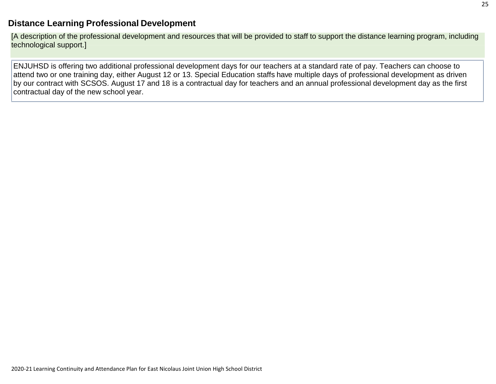### **[Distance Learning](http://www.doc-tracking.com/screenshots/20LCP/Instructions/20LCPInstructions.htm#DistanceLearningProgram4) Professional Development**

[A description of the professional development and resources that will be provided to staff to support the distance learning program, including technological support.]

ENJUHSD is offering two additional professional development days for our teachers at a standard rate of pay. Teachers can choose to attend two or one training day, either August 12 or 13. Special Education staffs have multiple days of professional development as driven by our contract with SCSOS. August 17 and 18 is a contractual day for teachers and an annual professional development day as the first contractual day of the new school year.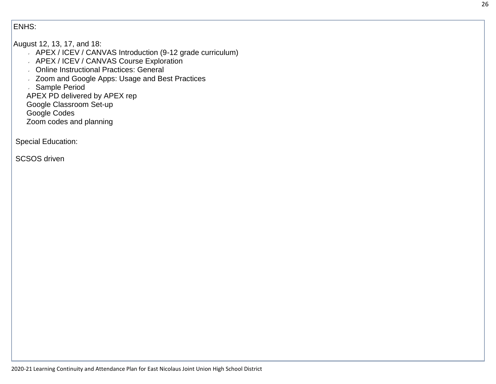#### ENHS:

#### August 12, 13, 17, and 18:

- APEX / ICEV / CANVAS Introduction (9-12 grade curriculum)
- APEX / ICEV / CANVAS Course Exploration
- Online Instructional Practices: General
- **Zoom and Google Apps: Usage and Best Practices**
- Sample Period
- APEX PD delivered by APEX rep
- Google Classroom Set-up
- Google Codes
- Zoom codes and planning

Special Education:

SCSOS driven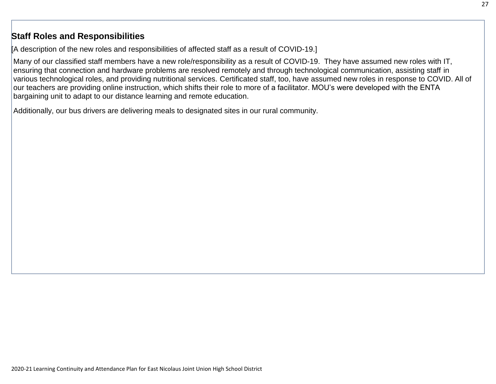### **Staff Roles and [Responsibilities](http://www.doc-tracking.com/screenshots/20LCP/Instructions/20LCPInstructions.htm#DistanceLearningProgram5)**

[A description of the new roles and responsibilities of affected staff as a result of COVID-19.]

Many of our classified staff members have a new role/responsibility as a result of COVID-19. They have assumed new roles with IT, ensuring that connection and hardware problems are resolved remotely and through technological communication, assisting staff in various technological roles, and providing nutritional services. Certificated staff, too, have assumed new roles in response to COVID. All of our teachers are providing online instruction, which shifts their role to more of a facilitator. MOU's were developed with the ENTA bargaining unit to adapt to our distance learning and remote education.

Additionally, our bus drivers are delivering meals to designated sites in our rural community.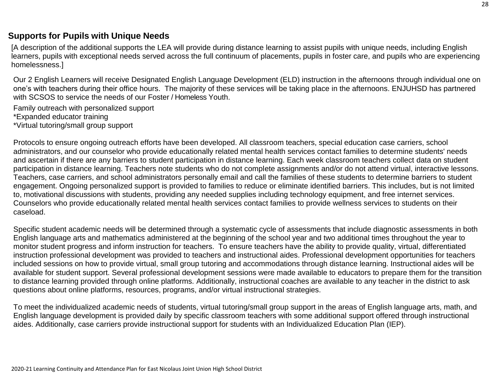### **Supports [for Pupils](http://www.doc-tracking.com/screenshots/20LCP/Instructions/20LCPInstructions.htm#DistanceLearningProgram6) with Unique Needs**

[A description of the additional supports the LEA will provide during distance learning to assist pupils with unique needs, including English learners, pupils with exceptional needs served across the full continuum of placements, pupils in foster care, and pupils who are experiencing homelessness.]

Our 2 English Learners will receive Designated English Language Development (ELD) instruction in the afternoons through individual one on one's with teachers during their office hours. The majority of these services will be taking place in the afternoons. ENJUHSD has partnered with SCSOS to service the needs of our Foster / Homeless Youth.

Family outreach with personalized support \*Expanded educator training

\*Virtual tutoring/small group support

Protocols to ensure ongoing outreach efforts have been developed. All classroom teachers, special education case carriers, school administrators, and our counselor who provide educationally related mental health services contact families to determine students' needs and ascertain if there are any barriers to student participation in distance learning. Each week classroom teachers collect data on student participation in distance learning. Teachers note students who do not complete assignments and/or do not attend virtual, interactive lessons. Teachers, case carriers, and school administrators personally email and call the families of these students to determine barriers to student engagement. Ongoing personalized support is provided to families to reduce or eliminate identified barriers. This includes, but is not limited to, motivational discussions with students, providing any needed supplies including technology equipment, and free internet services. Counselors who provide educationally related mental health services contact families to provide wellness services to students on their caseload.

Specific student academic needs will be determined through a systematic cycle of assessments that include diagnostic assessments in both English language arts and mathematics administered at the beginning of the school year and two additional times throughout the year to monitor student progress and inform instruction for teachers. To ensure teachers have the ability to provide quality, virtual, differentiated instruction professional development was provided to teachers and instructional aides. Professional development opportunities for teachers included sessions on how to provide virtual, small group tutoring and accommodations through distance learning. Instructional aides will be available for student support. Several professional development sessions were made available to educators to prepare them for the transition to distance learning provided through online platforms. Additionally, instructional coaches are available to any teacher in the district to ask questions about online platforms, resources, programs, and/or virtual instructional strategies.

To meet the individualized academic needs of students, virtual tutoring/small group support in the areas of English language arts, math, and English language development is provided daily by specific classroom teachers with some additional support offered through instructional aides. Additionally, case carriers provide instructional support for students with an Individualized Education Plan (IEP).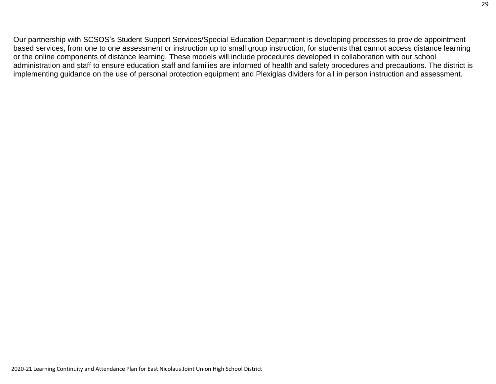Our partnership with SCSOS's Student Support Services/Special Education Department is developing processes to provide appointment based services, from one to one assessment or instruction up to small group instruction, for students that cannot access distance learning or the online components of distance learning. These models will include procedures developed in collaboration with our school administration and staff to ensure education staff and families are informed of health and safety procedures and precautions. The district is implementing guidance on the use of personal protection equipment and Plexiglas dividers for all in person instruction and assessment.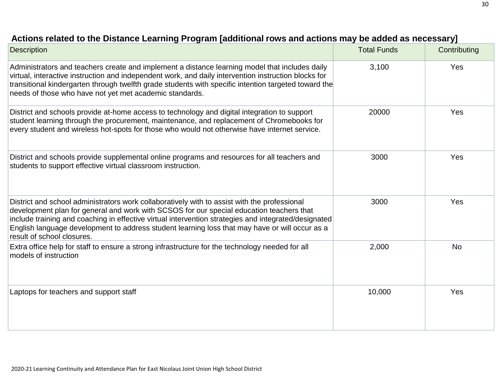| <b>Description</b>                                                                                                                                                                                                                                                                                                                                                                                                               | <b>Total Funds</b> | Contributing |
|----------------------------------------------------------------------------------------------------------------------------------------------------------------------------------------------------------------------------------------------------------------------------------------------------------------------------------------------------------------------------------------------------------------------------------|--------------------|--------------|
| Administrators and teachers create and implement a distance learning model that includes daily<br>virtual, interactive instruction and independent work, and daily intervention instruction blocks for<br>transitional kindergarten through twelfth grade students with specific intention targeted toward the<br>needs of those who have not yet met academic standards.                                                        | 3,100              | Yes          |
| District and schools provide at-home access to technology and digital integration to support<br>student learning through the procurement, maintenance, and replacement of Chromebooks for<br>every student and wireless hot-spots for those who would not otherwise have internet service.                                                                                                                                       | 20000              | Yes          |
| District and schools provide supplemental online programs and resources for all teachers and<br>students to support effective virtual classroom instruction.                                                                                                                                                                                                                                                                     | 3000               | Yes          |
| District and school administrators work collaboratively with to assist with the professional<br>development plan for general and work with SCSOS for our special education teachers that<br>include training and coaching in effective virtual intervention strategies and integrated/designated<br>English language development to address student learning loss that may have or will occur as a<br>result of school closures. | 3000               | Yes          |
| Extra office help for staff to ensure a strong infrastructure for the technology needed for all<br>models of instruction                                                                                                                                                                                                                                                                                                         | 2,000              | <b>No</b>    |
| Laptops for teachers and support staff                                                                                                                                                                                                                                                                                                                                                                                           | 10,000             | Yes          |

## **Actions related to [the Distance Learning](http://www.doc-tracking.com/screenshots/20LCP/Instructions/20LCPInstructions.htm#DistanceLearningProgram7) Program [additional rows and actions may be added as necessary]**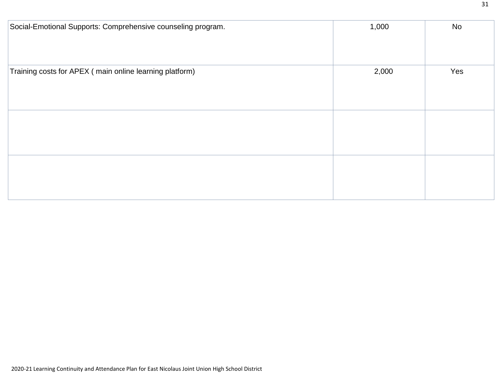| Social-Emotional Supports: Comprehensive counseling program. | 1,000 | No  |
|--------------------------------------------------------------|-------|-----|
|                                                              |       |     |
|                                                              |       |     |
| Training costs for APEX (main online learning platform)      | 2,000 | Yes |
|                                                              |       |     |
|                                                              |       |     |
|                                                              |       |     |
|                                                              |       |     |
|                                                              |       |     |
|                                                              |       |     |
|                                                              |       |     |
|                                                              |       |     |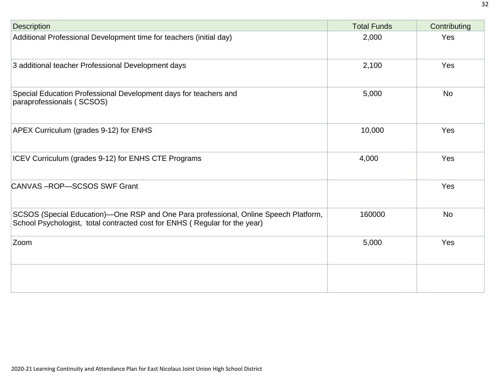| <b>Description</b>                                                                                                                                                 | <b>Total Funds</b> | Contributing |
|--------------------------------------------------------------------------------------------------------------------------------------------------------------------|--------------------|--------------|
| Additional Professional Development time for teachers (initial day)                                                                                                | 2,000              | Yes          |
| 3 additional teacher Professional Development days                                                                                                                 | 2,100              | Yes          |
| Special Education Professional Development days for teachers and<br>paraprofessionals (SCSOS)                                                                      | 5,000              | <b>No</b>    |
| APEX Curriculum (grades 9-12) for ENHS                                                                                                                             | 10,000             | Yes          |
| ICEV Curriculum (grades 9-12) for ENHS CTE Programs                                                                                                                | 4,000              | Yes          |
| CANVAS-ROP-SCSOS SWF Grant                                                                                                                                         |                    | Yes          |
| SCSOS (Special Education)—One RSP and One Para professional, Online Speech Platform,<br>School Psychologist, total contracted cost for ENHS (Regular for the year) | 160000             | <b>No</b>    |
| Zoom                                                                                                                                                               | 5,000              | Yes          |
|                                                                                                                                                                    |                    |              |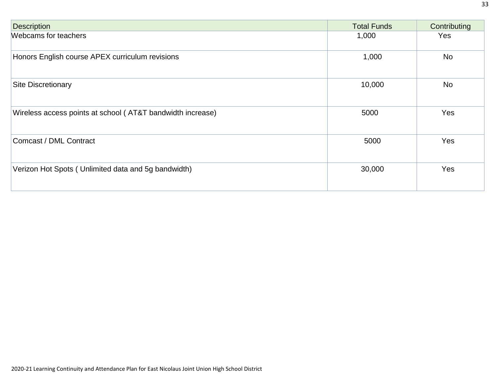| <b>Description</b>                                         | <b>Total Funds</b> | Contributing |
|------------------------------------------------------------|--------------------|--------------|
| Webcams for teachers                                       | 1,000              | Yes          |
| Honors English course APEX curriculum revisions            | 1,000              | No           |
| <b>Site Discretionary</b>                                  | 10,000             | <b>No</b>    |
| Wireless access points at school (AT&T bandwidth increase) | 5000               | Yes          |
| Comcast / DML Contract                                     | 5000               | Yes          |
| Verizon Hot Spots (Unlimited data and 5g bandwidth)        | 30,000             | Yes          |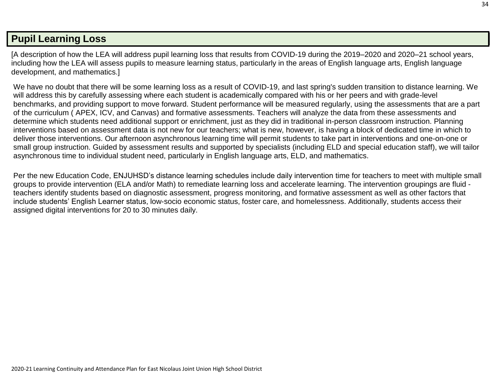## **Pupil [Learning](http://www.doc-tracking.com/screenshots/20LCP/Instructions/20LCPInstructions.htm#PupilLearningLoss) Loss**

[A description of how the LEA will address pupil learning loss that results from COVID-19 during the 2019–2020 and 2020–21 school years, including how the LEA will assess pupils to measure learning status, particularly in the areas of English language arts, English language development, and mathematics.]

We have no doubt that there will be some learning loss as a result of COVID-19, and last spring's sudden transition to distance learning. We will address this by carefully assessing where each student is academically compared with his or her peers and with grade-level benchmarks, and providing support to move forward. Student performance will be measured regularly, using the assessments that are a part of the curriculum ( APEX, ICV, and Canvas) and formative assessments. Teachers will analyze the data from these assessments and determine which students need additional support or enrichment, just as they did in traditional in-person classroom instruction. Planning interventions based on assessment data is not new for our teachers; what is new, however, is having a block of dedicated time in which to deliver those interventions. Our afternoon asynchronous learning time will permit students to take part in interventions and one-on-one or small group instruction. Guided by assessment results and supported by specialists (including ELD and special education staff), we will tailor asynchronous time to individual student need, particularly in English language arts, ELD, and mathematics.

Per the new Education Code, ENJUHSD's distance learning schedules include daily intervention time for teachers to meet with multiple small groups to provide intervention (ELA and/or Math) to remediate learning loss and accelerate learning. The intervention groupings are fluid teachers identify students based on diagnostic assessment, progress monitoring, and formative assessment as well as other factors that include students' English Learner status, low-socio economic status, foster care, and homelessness. Additionally, students access their assigned digital interventions for 20 to 30 minutes daily.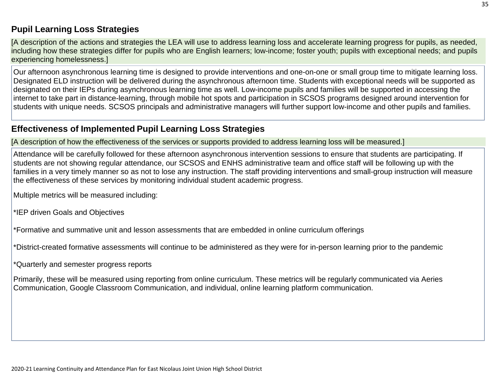## **Pupil Learning Loss [Strategies](http://www.doc-tracking.com/screenshots/20LCP/Instructions/20LCPInstructions.htm#PupilLearningLoss1)**

[A description of the actions and strategies the LEA will use to address learning loss and accelerate learning progress for pupils, as needed, including how these strategies differ for pupils who are English learners; low-income; foster youth; pupils with exceptional needs; and pupils experiencing homelessness.]

Our afternoon asynchronous learning time is designed to provide interventions and one-on-one or small group time to mitigate learning loss. Designated ELD instruction will be delivered during the asynchronous afternoon time. Students with exceptional needs will be supported as designated on their IEPs during asynchronous learning time as well. Low-income pupils and families will be supported in accessing the internet to take part in distance-learning, through mobile hot spots and participation in SCSOS programs designed around intervention for students with unique needs. SCSOS principals and administrative managers will further support low-income and other pupils and families.

## **[Effectiveness of](http://www.doc-tracking.com/screenshots/20LCP/Instructions/20LCPInstructions.htm#PupilLearningLoss2) Implemented Pupil Learning Loss Strategies**

[A description of how the effectiveness of the services or supports provided to address learning loss will be measured.]

Attendance will be carefully followed for these afternoon asynchronous intervention sessions to ensure that students are participating. If students are not showing regular attendance, our SCSOS and ENHS administrative team and office staff will be following up with the families in a very timely manner so as not to lose any instruction. The staff providing interventions and small-group instruction will measure the effectiveness of these services by monitoring individual student academic progress.

Multiple metrics will be measured including:

\*IEP driven Goals and Objectives

\*Formative and summative unit and lesson assessments that are embedded in online curriculum offerings

\*District-created formative assessments will continue to be administered as they were for in-person learning prior to the pandemic

\*Quarterly and semester progress reports

Primarily, these will be measured using reporting from online curriculum. These metrics will be regularly communicated via Aeries Communication, Google Classroom Communication, and individual, online learning platform communication.

2020-21 Learning Continuity and Attendance Plan for East Nicolaus Joint Union High School District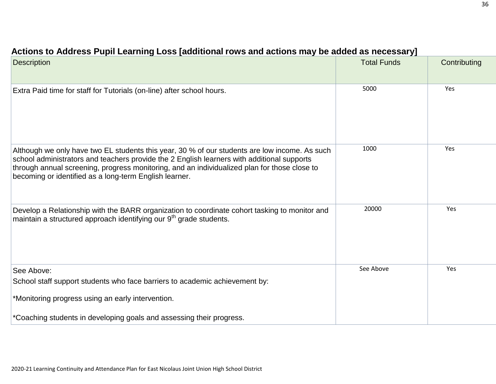| <b>Description</b>                                                                                                                                                                                                                                                                                                                                    | <b>Total Funds</b> | Contributing |
|-------------------------------------------------------------------------------------------------------------------------------------------------------------------------------------------------------------------------------------------------------------------------------------------------------------------------------------------------------|--------------------|--------------|
| Extra Paid time for staff for Tutorials (on-line) after school hours.                                                                                                                                                                                                                                                                                 | 5000               | Yes          |
| Although we only have two EL students this year, 30 % of our students are low income. As such<br>school administrators and teachers provide the 2 English learners with additional supports<br>through annual screening, progress monitoring, and an individualized plan for those close to<br>becoming or identified as a long-term English learner. | 1000               | Yes          |
| Develop a Relationship with the BARR organization to coordinate cohort tasking to monitor and<br>maintain a structured approach identifying our 9 <sup>th</sup> grade students.                                                                                                                                                                       | 20000              | Yes          |
| See Above:                                                                                                                                                                                                                                                                                                                                            | See Above          | Yes          |
| School staff support students who face barriers to academic achievement by:                                                                                                                                                                                                                                                                           |                    |              |
| *Monitoring progress using an early intervention.                                                                                                                                                                                                                                                                                                     |                    |              |
| *Coaching students in developing goals and assessing their progress.                                                                                                                                                                                                                                                                                  |                    |              |

## **Actions to [Address Pupil](http://www.doc-tracking.com/screenshots/20LCP/Instructions/20LCPInstructions.htm#PupilLearningLoss4) Learning Loss [additional rows and actions may be added as necessary]**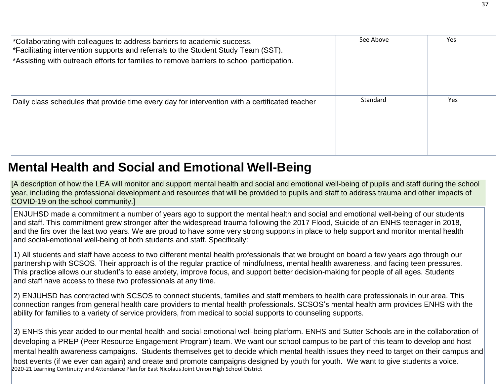| *Collaborating with colleagues to address barriers to academic success.<br>*Facilitating intervention supports and referrals to the Student Study Team (SST).<br>*Assisting with outreach efforts for families to remove barriers to school participation. | See Above | <b>Yes</b> |
|------------------------------------------------------------------------------------------------------------------------------------------------------------------------------------------------------------------------------------------------------------|-----------|------------|
| Daily class schedules that provide time every day for intervention with a certificated teacher                                                                                                                                                             | Standard  | Yes        |

## **Mental Health and Social and Emotional [Well-Being](http://www.doc-tracking.com/screenshots/20LCP/Instructions/20LCPInstructions.htm#MentalHealthandSocialandEmotional)**

[A description of how the LEA will monitor and support mental health and social and emotional well-being of pupils and staff during the school year, including the professional development and resources that will be provided to pupils and staff to address trauma and other impacts of COVID-19 on the school community.]

ENJUHSD made a commitment a number of years ago to support the mental health and social and emotional well-being of our students and staff. This commitment grew stronger after the widespread trauma following the 2017 Flood, Suicide of an ENHS teenager in 2018, and the firs over the last two years. We are proud to have some very strong supports in place to help support and monitor mental health and social-emotional well-being of both students and staff. Specifically:

1) All students and staff have access to two different mental health professionals that we brought on board a few years ago through our partnership with SCSOS. Their approach is of the regular practice of mindfulness, mental health awareness, and facing teen pressures. This practice allows our student's to ease anxiety, improve focus, and support better decision-making for people of all ages. Students and staff have access to these two professionals at any time.

2) ENJUHSD has contracted with SCSOS to connect students, families and staff members to health care professionals in our area. This connection ranges from general health care providers to mental health professionals. SCSOS's mental health arm provides ENHS with the ability for families to a variety of service providers, from medical to social supports to counseling supports.

2020-21 Learning Continuity and Attendance Plan for East Nicolaus Joint Union High School District 3) ENHS this year added to our mental health and social-emotional well-being platform. ENHS and Sutter Schools are in the collaboration of developing a PREP (Peer Resource Engagement Program) team. We want our school campus to be part of this team to develop and host mental health awareness campaigns. Students themselves get to decide which mental health issues they need to target on their campus and host events (if we ever can again) and create and promote campaigns designed by youth for youth. We want to give students a voice.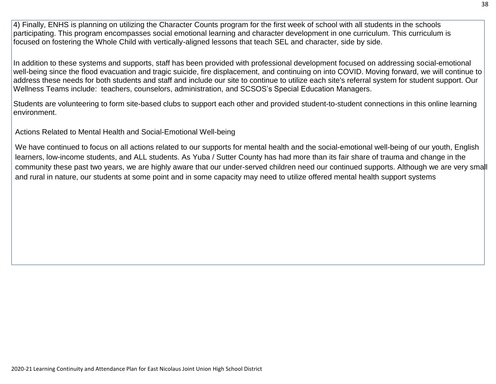4) Finally, ENHS is planning on utilizing the Character Counts program for the first week of school with all students in the schools participating. This program encompasses social emotional learning and character development in one curriculum. This curriculum is focused on fostering the Whole Child with vertically-aligned lessons that teach SEL and character, side by side.

In addition to these systems and supports, staff has been provided with professional development focused on addressing social-emotional well-being since the flood evacuation and tragic suicide, fire displacement, and continuing on into COVID. Moving forward, we will continue to address these needs for both students and staff and include our site to continue to utilize each site's referral system for student support. Our Wellness Teams include: teachers, counselors, administration, and SCSOS's Special Education Managers.

Students are volunteering to form site-based clubs to support each other and provided student-to-student connections in this online learning environment.

Actions Related to Mental Health and Social-Emotional Well-being

We have continued to focus on all actions related to our supports for mental health and the social-emotional well-being of our youth, English learners, low-income students, and ALL students. As Yuba / Sutter County has had more than its fair share of trauma and change in the community these past two years, we are highly aware that our under-served children need our continued supports. Although we are very small and rural in nature, our students at some point and in some capacity may need to utilize offered mental health support systems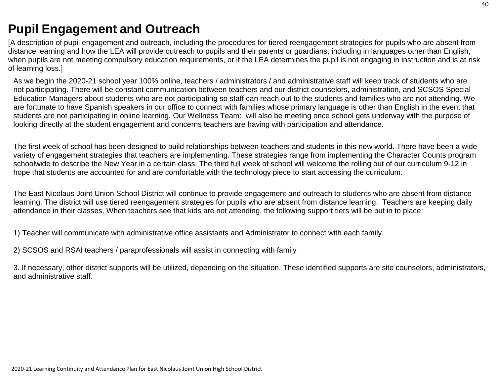## **Pupil [Engagement](http://www.doc-tracking.com/screenshots/20LCP/Instructions/20LCPInstructions.htm#PupilEngagementandOutreach) and Outreach**

[A description of pupil engagement and outreach, including the procedures for tiered reengagement strategies for pupils who are absent from distance learning and how the LEA will provide outreach to pupils and their parents or guardians, including in languages other than English, when pupils are not meeting compulsory education requirements, or if the LEA determines the pupil is not engaging in instruction and is at risk of learning loss.]

As we begin the 2020-21 school year 100% online, teachers / administrators / and administrative staff will keep track of students who are not participating. There will be constant communication between teachers and our district counselors, administration, and SCSOS Special Education Managers about students who are not participating so staff can reach out to the students and families who are not attending. We are fortunate to have Spanish speakers in our office to connect with families whose primary language is other than English in the event that students are not participating in online learning. Our Wellness Team: will also be meeting once school gets underway with the purpose of looking directly at the student engagement and concerns teachers are having with participation and attendance.

The first week of school has been designed to build relationships between teachers and students in this new world. There have been a wide variety of engagement strategies that teachers are implementing. These strategies range from implementing the Character Counts program schoolwide to describe the New Year in a certain class. The third full week of school will welcome the rolling out of our curriculum 9-12 in hope that students are accounted for and are comfortable with the technology piece to start accessing the curriculum.

The East Nicolaus Joint Union School District will continue to provide engagement and outreach to students who are absent from distance learning. The district will use tiered reengagement strategies for pupils who are absent from distance learning. Teachers are keeping daily attendance in their classes. When teachers see that kids are not attending, the following support tiers will be put in to place:

1) Teacher will communicate with administrative office assistants and Administrator to connect with each family.

2) SCSOS and RSAI teachers / paraprofessionals will assist in connecting with family

3. If necessary, other district supports will be utilized, depending on the situation. These identified supports are site counselors, administrators, and administrative staff.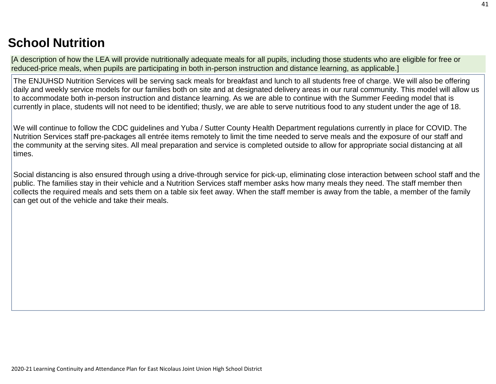## **School [Nutrition](http://www.doc-tracking.com/screenshots/20LCP/Instructions/20LCPInstructions.htm#SchoolNutrition)**

[A description of how the LEA will provide nutritionally adequate meals for all pupils, including those students who are eligible for free or reduced-price meals, when pupils are participating in both in-person instruction and distance learning, as applicable.]

The ENJUHSD Nutrition Services will be serving sack meals for breakfast and lunch to all students free of charge. We will also be offering daily and weekly service models for our families both on site and at designated delivery areas in our rural community. This model will allow us to accommodate both in-person instruction and distance learning. As we are able to continue with the Summer Feeding model that is currently in place, students will not need to be identified; thusly, we are able to serve nutritious food to any student under the age of 18.

We will continue to follow the CDC guidelines and Yuba / Sutter County Health Department regulations currently in place for COVID. The Nutrition Services staff pre-packages all entrée items remotely to limit the time needed to serve meals and the exposure of our staff and the community at the serving sites. All meal preparation and service is completed outside to allow for appropriate social distancing at all times.

Social distancing is also ensured through using a drive-through service for pick-up, eliminating close interaction between school staff and the public. The families stay in their vehicle and a Nutrition Services staff member asks how many meals they need. The staff member then collects the required meals and sets them on a table six feet away. When the staff member is away from the table, a member of the family can get out of the vehicle and take their meals.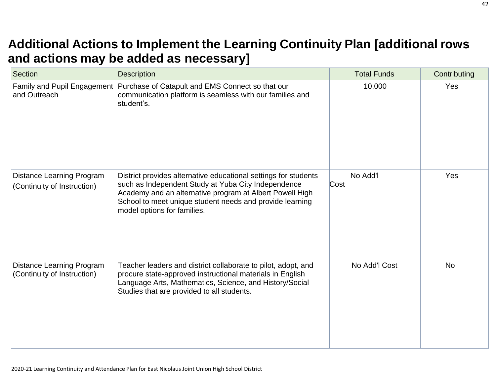## **Additional Actions to Implement [the Learning](http://www.doc-tracking.com/screenshots/20LCP/Instructions/20LCPInstructions.htm#AdditionalActions) Continuity Plan [additional row[s](http://www.doc-tracking.com/screenshots/20LCP/Instructions/20LCPInstructions.htm#AdditionalActions) and actions may be added [as necessary\]](http://www.doc-tracking.com/screenshots/20LCP/Instructions/20LCPInstructions.htm#AdditionalActions)**

| <b>Section</b>                                                  | <b>Description</b>                                                                                                                                                                                                                                                            | <b>Total Funds</b> | Contributing |
|-----------------------------------------------------------------|-------------------------------------------------------------------------------------------------------------------------------------------------------------------------------------------------------------------------------------------------------------------------------|--------------------|--------------|
| Family and Pupil Engagement<br>and Outreach                     | Purchase of Catapult and EMS Connect so that our<br>communication platform is seamless with our families and<br>student's.                                                                                                                                                    | 10,000             | Yes          |
| <b>Distance Learning Program</b><br>(Continuity of Instruction) | District provides alternative educational settings for students<br>such as Independent Study at Yuba City Independence<br>Academy and an alternative program at Albert Powell High<br>School to meet unique student needs and provide learning<br>model options for families. | No Add'l<br>Cost   | Yes          |
| <b>Distance Learning Program</b><br>(Continuity of Instruction) | Teacher leaders and district collaborate to pilot, adopt, and<br>procure state-approved instructional materials in English<br>Language Arts, Mathematics, Science, and History/Social<br>Studies that are provided to all students.                                           | No Add'l Cost      | <b>No</b>    |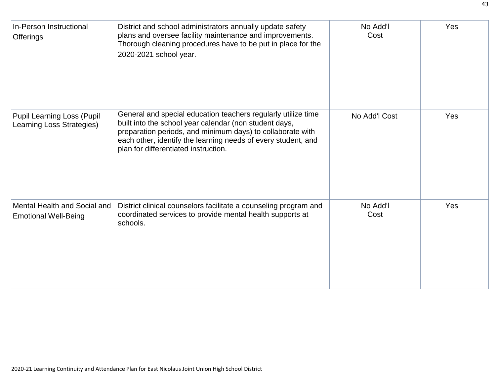| In-Person Instructional<br><b>Offerings</b>                    | District and school administrators annually update safety<br>plans and oversee facility maintenance and improvements.<br>Thorough cleaning procedures have to be put in place for the<br>2020-2021 school year.                                                                                | No Add'l<br>Cost | Yes |
|----------------------------------------------------------------|------------------------------------------------------------------------------------------------------------------------------------------------------------------------------------------------------------------------------------------------------------------------------------------------|------------------|-----|
| <b>Pupil Learning Loss (Pupil</b><br>Learning Loss Strategies) | General and special education teachers regularly utilize time<br>built into the school year calendar (non student days,<br>preparation periods, and minimum days) to collaborate with<br>each other, identify the learning needs of every student, and<br>plan for differentiated instruction. | No Add'l Cost    | Yes |
| Mental Health and Social and<br><b>Emotional Well-Being</b>    | District clinical counselors facilitate a counseling program and<br>coordinated services to provide mental health supports at<br>schools.                                                                                                                                                      | No Add'l<br>Cost | Yes |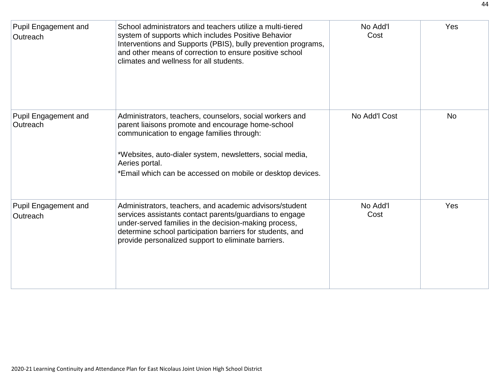| <b>Pupil Engagement and</b><br>Outreach | School administrators and teachers utilize a multi-tiered<br>system of supports which includes Positive Behavior<br>Interventions and Supports (PBIS), bully prevention programs,<br>and other means of correction to ensure positive school<br>climates and wellness for all students.                 | No Add'l<br>Cost | Yes       |
|-----------------------------------------|---------------------------------------------------------------------------------------------------------------------------------------------------------------------------------------------------------------------------------------------------------------------------------------------------------|------------------|-----------|
| <b>Pupil Engagement and</b><br>Outreach | Administrators, teachers, counselors, social workers and<br>parent liaisons promote and encourage home-school<br>communication to engage families through:<br>*Websites, auto-dialer system, newsletters, social media,<br>Aeries portal.<br>*Email which can be accessed on mobile or desktop devices. | No Add'l Cost    | <b>No</b> |
| <b>Pupil Engagement and</b><br>Outreach | Administrators, teachers, and academic advisors/student<br>services assistants contact parents/guardians to engage<br>under-served families in the decision-making process,<br>determine school participation barriers for students, and<br>provide personalized support to eliminate barriers.         | No Add'l<br>Cost | Yes       |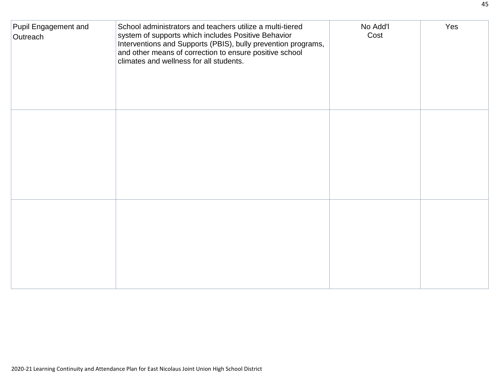| Pupil Engagement and<br>Outreach | School administrators and teachers utilize a multi-tiered<br>system of supports which includes Positive Behavior<br>Interventions and Supports (PBIS), bully prevention programs,<br>and other means of correction to ensure positive school<br>climates and wellness for all students. | No Add'l<br>Cost | Yes |
|----------------------------------|-----------------------------------------------------------------------------------------------------------------------------------------------------------------------------------------------------------------------------------------------------------------------------------------|------------------|-----|
|                                  |                                                                                                                                                                                                                                                                                         |                  |     |
|                                  |                                                                                                                                                                                                                                                                                         |                  |     |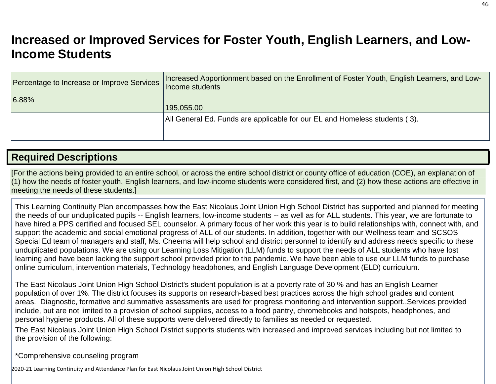## **Increased or Improved [Services for Foster Youth,](http://www.doc-tracking.com/screenshots/20LCP/Instructions/20LCPInstructions.htm#IncreasedorImprovedServices) English Learners, and Low[-](http://www.doc-tracking.com/screenshots/20LCP/Instructions/20LCPInstructions.htm#IncreasedorImprovedServices)Income [Students](http://www.doc-tracking.com/screenshots/20LCP/Instructions/20LCPInstructions.htm#IncreasedorImprovedServices)**

| Percentage to Increase or Improve Services | Increased Apportionment based on the Enrollment of Foster Youth, English Learners, and Low-<br>Income students |
|--------------------------------------------|----------------------------------------------------------------------------------------------------------------|
| 6.88%                                      | 195,055.00                                                                                                     |
|                                            | All General Ed. Funds are applicable for our EL and Homeless students (3).                                     |

## **Required [Descriptions](http://www.doc-tracking.com/screenshots/20LCP/Instructions/20LCPInstructions.htm#RequiredDescriptions)**

[For the actions being provided to an entire school, or across the entire school district or county office of education (COE), an explanation of (1) how the needs of foster youth, English learners, and low-income students were considered first, and (2) how these actions are effective in meeting the needs of these students.]

This Learning Continuity Plan encompasses how the East Nicolaus Joint Union High School District has supported and planned for meeting the needs of our unduplicated pupils -- English learners, low-income students -- as well as for ALL students. This year, we are fortunate to have hired a PPS certified and focused SEL counselor. A primary focus of her work this year is to build relationships with, connect with, and support the academic and social emotional progress of ALL of our students. In addition, together with our Wellness team and SCSOS Special Ed team of managers and staff, Ms. Cheema will help school and district personnel to identify and address needs specific to these unduplicated populations. We are using our Learning Loss Mitigation (LLM) funds to support the needs of ALL students who have lost learning and have been lacking the support school provided prior to the pandemic. We have been able to use our LLM funds to purchase online curriculum, intervention materials, Technology headphones, and English Language Development (ELD) curriculum.

The East Nicolaus Joint Union High School District's student population is at a poverty rate of 30 % and has an English Learner population of over 1%. The district focuses its supports on research-based best practices across the high school grades and content areas. Diagnostic, formative and summative assessments are used for progress monitoring and intervention support..Services provided include, but are not limited to a provision of school supplies, access to a food pantry, chromebooks and hotspots, headphones, and personal hygiene products. All of these supports were delivered directly to families as needed or requested.

The East Nicolaus Joint Union High School District supports students with increased and improved services including but not limited to the provision of the following:

\*Comprehensive counseling program

2020-21 Learning Continuity and Attendance Plan for East Nicolaus Joint Union High School District